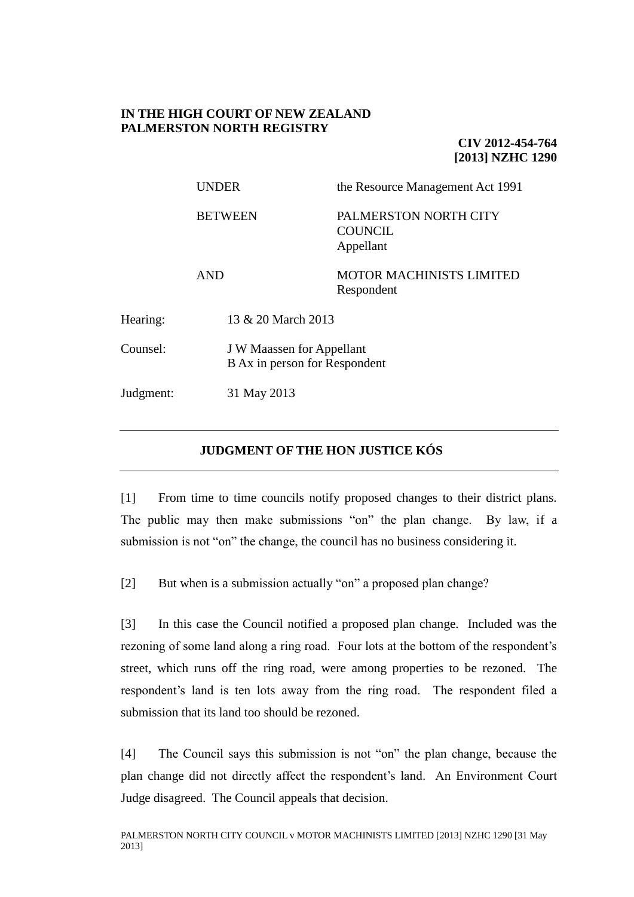## **IN THE HIGH COURT OF NEW ZEALAND PALMERSTON NORTH REGISTRY**

**CIV 2012-454-764 [2013] NZHC 1290**

|           | <b>UNDER</b>   | the Resource Management Act 1991                                  |  |
|-----------|----------------|-------------------------------------------------------------------|--|
|           | <b>BETWEEN</b> | PALMERSTON NORTH CITY<br><b>COUNCIL</b><br>Appellant              |  |
|           | <b>AND</b>     | <b>MOTOR MACHINISTS LIMITED</b><br>Respondent                     |  |
| Hearing:  |                | 13 & 20 March 2013                                                |  |
| Counsel:  |                | <b>J W Maassen for Appellant</b><br>B Ax in person for Respondent |  |
| Judgment: | 31 May 2013    |                                                                   |  |

# **JUDGMENT OF THE HON JUSTICE KÓS**

[1] From time to time councils notify proposed changes to their district plans. The public may then make submissions "on" the plan change. By law, if a submission is not "on" the change, the council has no business considering it.

[2] But when is a submission actually "on" a proposed plan change?

[3] In this case the Council notified a proposed plan change. Included was the rezoning of some land along a ring road. Four lots at the bottom of the respondent's street, which runs off the ring road, were among properties to be rezoned. The respondent's land is ten lots away from the ring road. The respondent filed a submission that its land too should be rezoned.

[4] The Council says this submission is not "on" the plan change, because the plan change did not directly affect the respondent's land. An Environment Court Judge disagreed. The Council appeals that decision.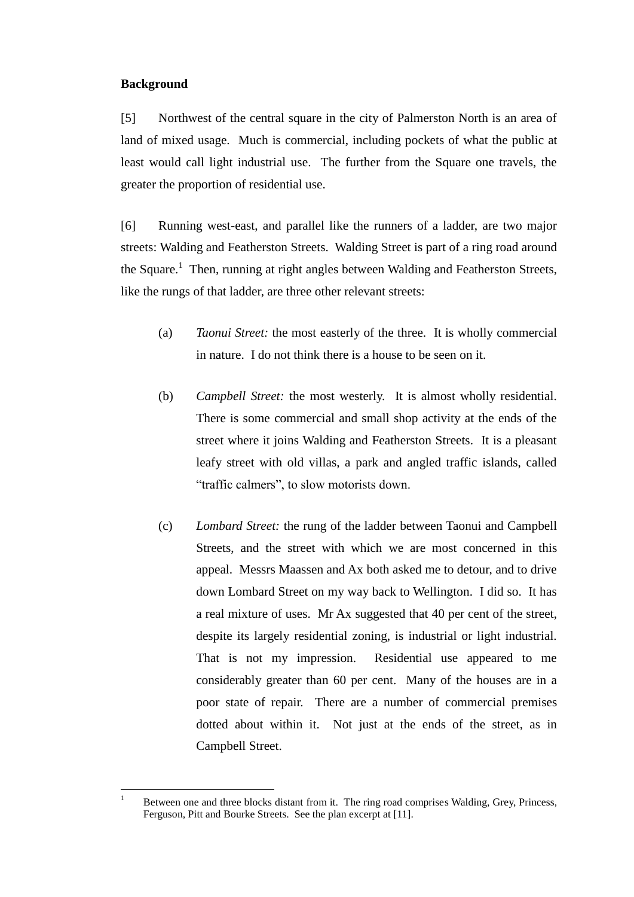## **Background**

[5] Northwest of the central square in the city of Palmerston North is an area of land of mixed usage. Much is commercial, including pockets of what the public at least would call light industrial use. The further from the Square one travels, the greater the proportion of residential use.

[6] Running west-east, and parallel like the runners of a ladder, are two major streets: Walding and Featherston Streets. Walding Street is part of a ring road around the Square.<sup>1</sup> Then, running at right angles between Walding and Featherston Streets, like the rungs of that ladder, are three other relevant streets:

- (a) *Taonui Street:* the most easterly of the three. It is wholly commercial in nature. I do not think there is a house to be seen on it.
- (b) *Campbell Street:* the most westerly. It is almost wholly residential. There is some commercial and small shop activity at the ends of the street where it joins Walding and Featherston Streets. It is a pleasant leafy street with old villas, a park and angled traffic islands, called "traffic calmers", to slow motorists down.
- (c) *Lombard Street:* the rung of the ladder between Taonui and Campbell Streets, and the street with which we are most concerned in this appeal. Messrs Maassen and Ax both asked me to detour, and to drive down Lombard Street on my way back to Wellington. I did so. It has a real mixture of uses. Mr Ax suggested that 40 per cent of the street, despite its largely residential zoning, is industrial or light industrial. That is not my impression. Residential use appeared to me considerably greater than 60 per cent. Many of the houses are in a poor state of repair. There are a number of commercial premises dotted about within it. Not just at the ends of the street, as in Campbell Street.

 $\overline{1}$ <sup>1</sup> Between one and three blocks distant from it. The ring road comprises Walding, Grey, Princess, Ferguson, Pitt and Bourke Streets. See the plan excerpt at [11].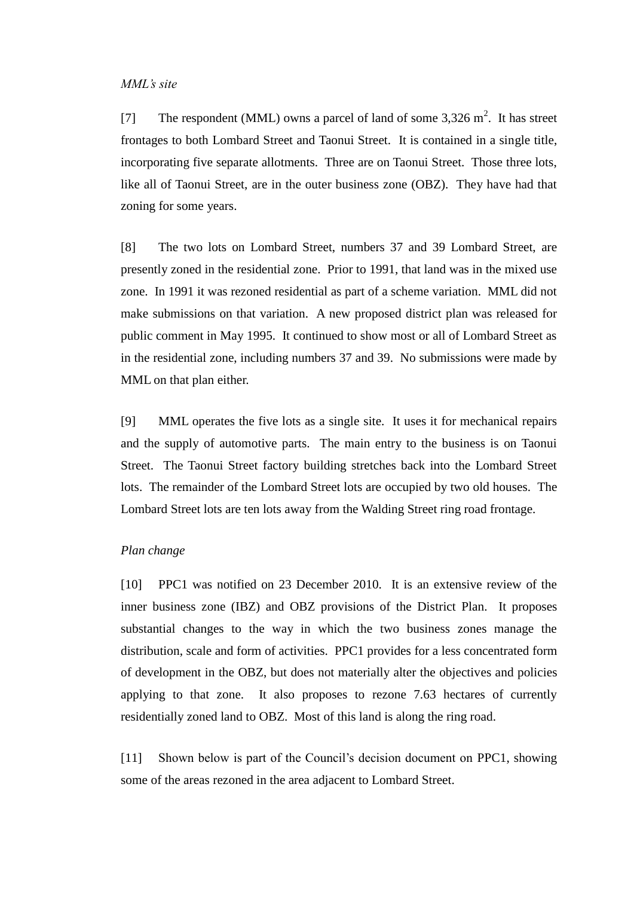#### *MML's site*

[7] The respondent (MML) owns a parcel of land of some  $3,326 \text{ m}^2$ . It has street frontages to both Lombard Street and Taonui Street. It is contained in a single title, incorporating five separate allotments. Three are on Taonui Street. Those three lots, like all of Taonui Street, are in the outer business zone (OBZ). They have had that zoning for some years.

[8] The two lots on Lombard Street, numbers 37 and 39 Lombard Street, are presently zoned in the residential zone. Prior to 1991, that land was in the mixed use zone. In 1991 it was rezoned residential as part of a scheme variation. MML did not make submissions on that variation. A new proposed district plan was released for public comment in May 1995. It continued to show most or all of Lombard Street as in the residential zone, including numbers 37 and 39. No submissions were made by MML on that plan either.

[9] MML operates the five lots as a single site. It uses it for mechanical repairs and the supply of automotive parts. The main entry to the business is on Taonui Street. The Taonui Street factory building stretches back into the Lombard Street lots. The remainder of the Lombard Street lots are occupied by two old houses. The Lombard Street lots are ten lots away from the Walding Street ring road frontage.

#### *Plan change*

[10] PPC1 was notified on 23 December 2010. It is an extensive review of the inner business zone (IBZ) and OBZ provisions of the District Plan. It proposes substantial changes to the way in which the two business zones manage the distribution, scale and form of activities. PPC1 provides for a less concentrated form of development in the OBZ, but does not materially alter the objectives and policies applying to that zone. It also proposes to rezone 7.63 hectares of currently residentially zoned land to OBZ. Most of this land is along the ring road.

[11] Shown below is part of the Council's decision document on PPC1, showing some of the areas rezoned in the area adjacent to Lombard Street.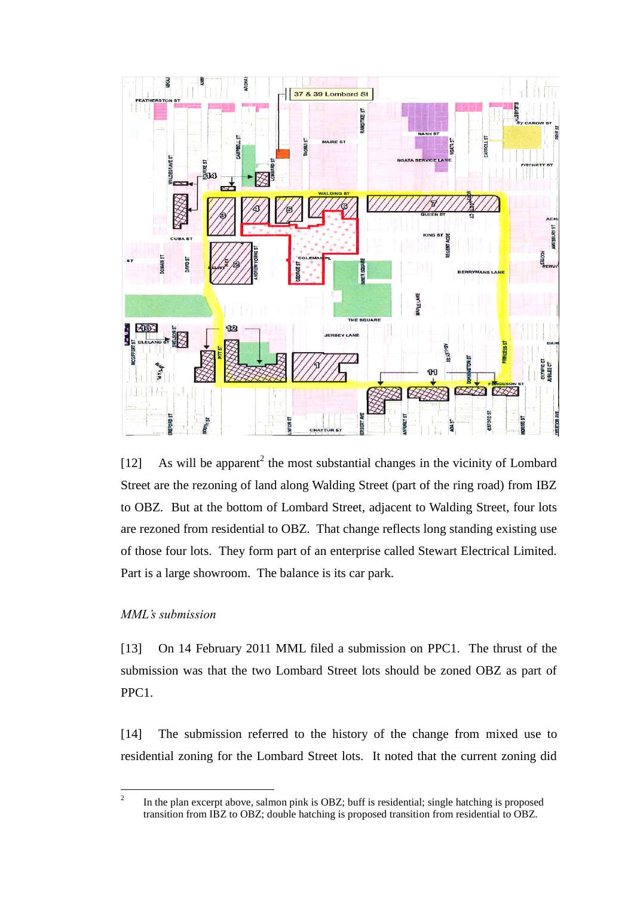

[12] As will be apparent<sup>2</sup> the most substantial changes in the vicinity of Lombard Street are the rezoning of land along Walding Street (part of the ring road) from IBZ to OBZ. But at the bottom of Lombard Street, adjacent to Walding Street, four lots are rezoned from residential to OBZ. That change reflects long standing existing use of those four lots. They form part of an enterprise called Stewart Electrical Limited. Part is a large showroom. The balance is its car park.

## *MML's submission*

[13] On 14 February 2011 MML filed a submission on PPC1. The thrust of the submission was that the two Lombard Street lots should be zoned OBZ as part of PPC1.

[14] The submission referred to the history of the change from mixed use to residential zoning for the Lombard Street lots. It noted that the current zoning did

 $\frac{1}{2}$ In the plan excerpt above, salmon pink is OBZ; buff is residential; single hatching is proposed transition from IBZ to OBZ; double hatching is proposed transition from residential to OBZ.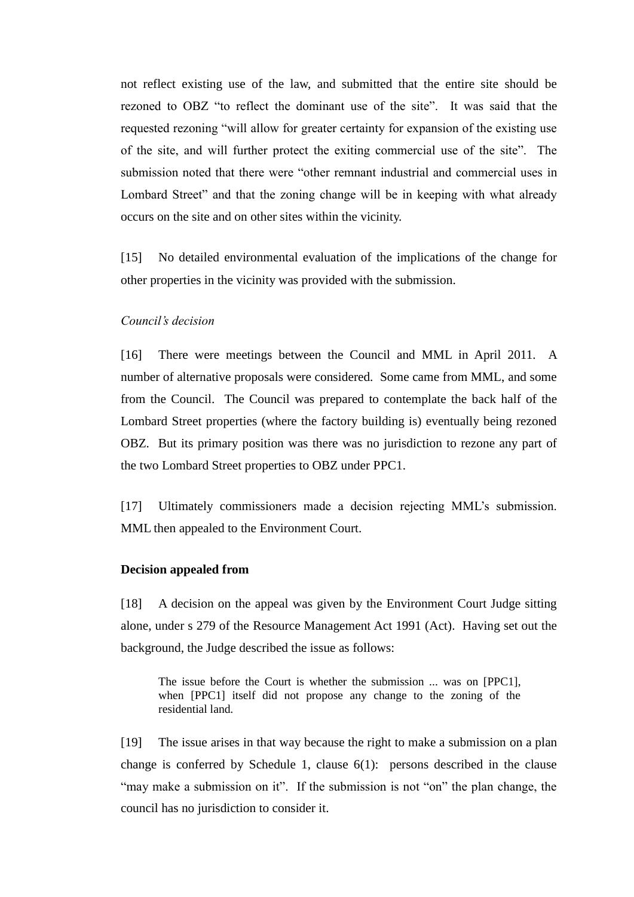not reflect existing use of the law, and submitted that the entire site should be rezoned to OBZ "to reflect the dominant use of the site". It was said that the requested rezoning "will allow for greater certainty for expansion of the existing use of the site, and will further protect the exiting commercial use of the site". The submission noted that there were "other remnant industrial and commercial uses in Lombard Street" and that the zoning change will be in keeping with what already occurs on the site and on other sites within the vicinity.

[15] No detailed environmental evaluation of the implications of the change for other properties in the vicinity was provided with the submission.

### *Council's decision*

[16] There were meetings between the Council and MML in April 2011. A number of alternative proposals were considered. Some came from MML, and some from the Council. The Council was prepared to contemplate the back half of the Lombard Street properties (where the factory building is) eventually being rezoned OBZ. But its primary position was there was no jurisdiction to rezone any part of the two Lombard Street properties to OBZ under PPC1.

[17] Ultimately commissioners made a decision rejecting MML's submission. MML then appealed to the Environment Court.

#### **Decision appealed from**

[18] A decision on the appeal was given by the Environment Court Judge sitting alone, under s 279 of the Resource Management Act 1991 (Act). Having set out the background, the Judge described the issue as follows:

The issue before the Court is whether the submission ... was on [PPC1], when [PPC1] itself did not propose any change to the zoning of the residential land.

[19] The issue arises in that way because the right to make a submission on a plan change is conferred by Schedule 1, clause  $6(1)$ : persons described in the clause "may make a submission on it". If the submission is not "on" the plan change, the council has no jurisdiction to consider it.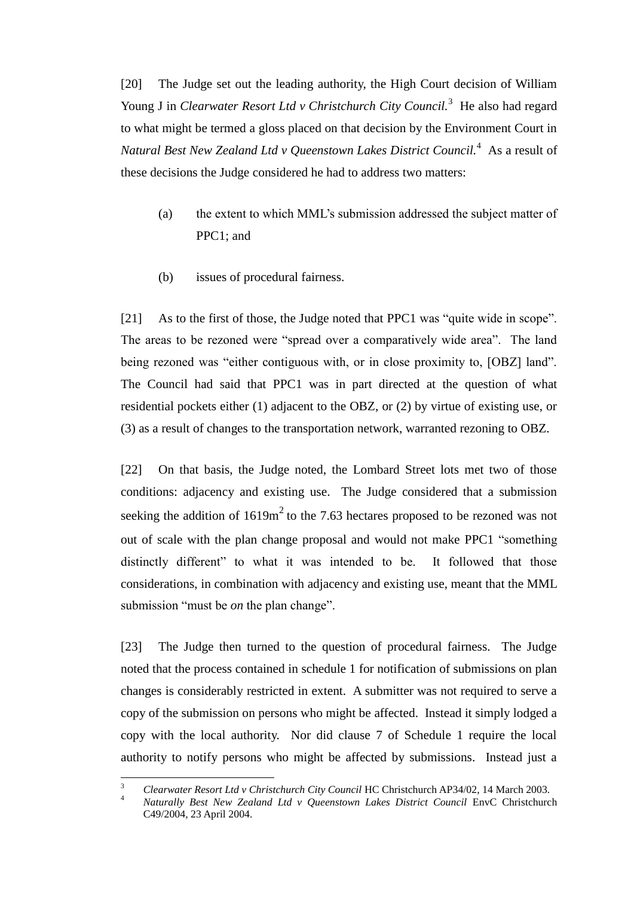[20] The Judge set out the leading authority, the High Court decision of William Young J in *Clearwater Resort Ltd v Christchurch City Council.*<sup>3</sup> He also had regard to what might be termed a gloss placed on that decision by the Environment Court in *Natural Best New Zealand Ltd v Queenstown Lakes District Council.* $^4$  *As a result of* these decisions the Judge considered he had to address two matters:

- (a) the extent to which MML's submission addressed the subject matter of PPC1; and
- (b) issues of procedural fairness.

[21] As to the first of those, the Judge noted that PPC1 was "quite wide in scope". The areas to be rezoned were "spread over a comparatively wide area". The land being rezoned was "either contiguous with, or in close proximity to, [OBZ] land". The Council had said that PPC1 was in part directed at the question of what residential pockets either (1) adjacent to the OBZ, or (2) by virtue of existing use, or (3) as a result of changes to the transportation network, warranted rezoning to OBZ.

[22] On that basis, the Judge noted, the Lombard Street lots met two of those conditions: adjacency and existing use. The Judge considered that a submission seeking the addition of  $1619m<sup>2</sup>$  to the 7.63 hectares proposed to be rezoned was not out of scale with the plan change proposal and would not make PPC1 "something distinctly different" to what it was intended to be. It followed that those considerations, in combination with adjacency and existing use, meant that the MML submission "must be *on* the plan change".

[23] The Judge then turned to the question of procedural fairness. The Judge noted that the process contained in schedule 1 for notification of submissions on plan changes is considerably restricted in extent. A submitter was not required to serve a copy of the submission on persons who might be affected. Instead it simply lodged a copy with the local authority. Nor did clause 7 of Schedule 1 require the local authority to notify persons who might be affected by submissions. Instead just a

 $\overline{a}$ 

<sup>3</sup> *Clearwater Resort Ltd v Christchurch City Council* HC Christchurch AP34/02, 14 March 2003.

<sup>4</sup> *Naturally Best New Zealand Ltd v Queenstown Lakes District Council* EnvC Christchurch C49/2004, 23 April 2004.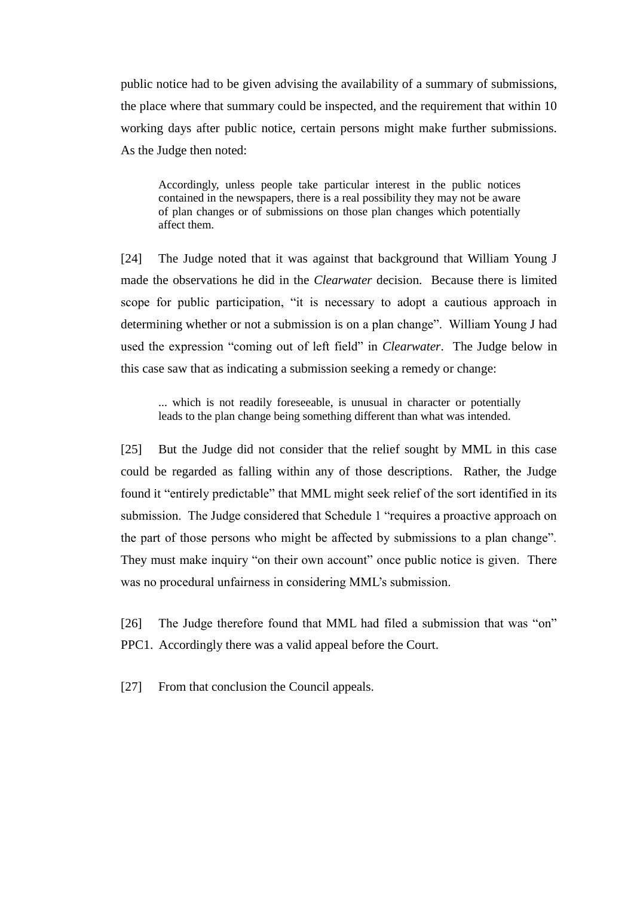public notice had to be given advising the availability of a summary of submissions, the place where that summary could be inspected, and the requirement that within 10 working days after public notice, certain persons might make further submissions. As the Judge then noted:

Accordingly, unless people take particular interest in the public notices contained in the newspapers, there is a real possibility they may not be aware of plan changes or of submissions on those plan changes which potentially affect them.

[24] The Judge noted that it was against that background that William Young J made the observations he did in the *Clearwater* decision. Because there is limited scope for public participation, "it is necessary to adopt a cautious approach in determining whether or not a submission is on a plan change". William Young J had used the expression "coming out of left field" in *Clearwater*. The Judge below in this case saw that as indicating a submission seeking a remedy or change:

... which is not readily foreseeable, is unusual in character or potentially leads to the plan change being something different than what was intended.

[25] But the Judge did not consider that the relief sought by MML in this case could be regarded as falling within any of those descriptions. Rather, the Judge found it "entirely predictable" that MML might seek relief of the sort identified in its submission. The Judge considered that Schedule 1 "requires a proactive approach on the part of those persons who might be affected by submissions to a plan change". They must make inquiry "on their own account" once public notice is given. There was no procedural unfairness in considering MML's submission.

[26] The Judge therefore found that MML had filed a submission that was "on" PPC1. Accordingly there was a valid appeal before the Court.

[27] From that conclusion the Council appeals.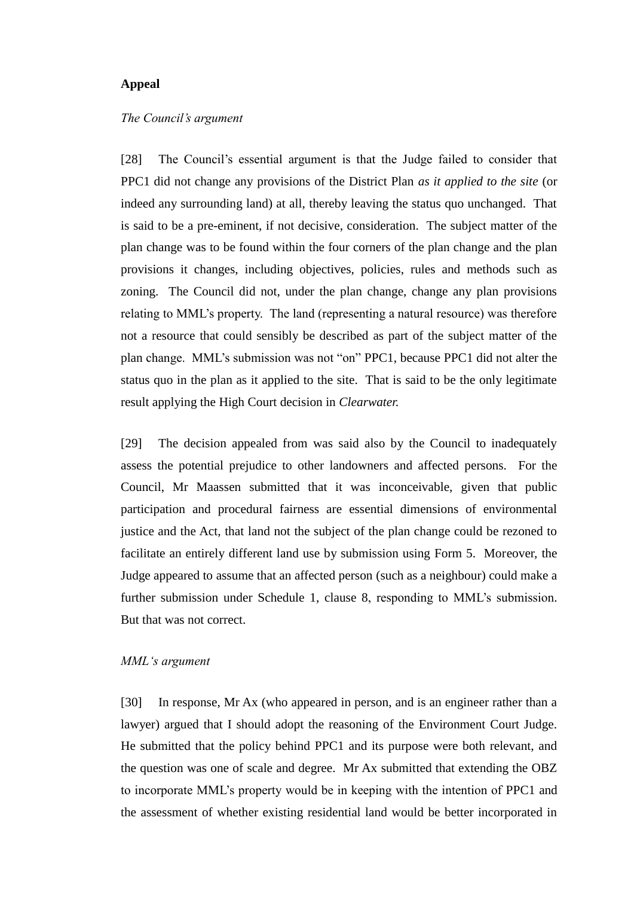#### **Appeal**

#### *The Council's argument*

[28] The Council's essential argument is that the Judge failed to consider that PPC1 did not change any provisions of the District Plan *as it applied to the site* (or indeed any surrounding land) at all, thereby leaving the status quo unchanged. That is said to be a pre-eminent, if not decisive, consideration. The subject matter of the plan change was to be found within the four corners of the plan change and the plan provisions it changes, including objectives, policies, rules and methods such as zoning. The Council did not, under the plan change, change any plan provisions relating to MML's property. The land (representing a natural resource) was therefore not a resource that could sensibly be described as part of the subject matter of the plan change. MML's submission was not "on" PPC1, because PPC1 did not alter the status quo in the plan as it applied to the site. That is said to be the only legitimate result applying the High Court decision in *Clearwater.* 

[29] The decision appealed from was said also by the Council to inadequately assess the potential prejudice to other landowners and affected persons. For the Council, Mr Maassen submitted that it was inconceivable, given that public participation and procedural fairness are essential dimensions of environmental justice and the Act, that land not the subject of the plan change could be rezoned to facilitate an entirely different land use by submission using Form 5. Moreover, the Judge appeared to assume that an affected person (such as a neighbour) could make a further submission under Schedule 1, clause 8, responding to MML's submission. But that was not correct.

#### *MML's argument*

[30] In response, Mr Ax (who appeared in person, and is an engineer rather than a lawyer) argued that I should adopt the reasoning of the Environment Court Judge. He submitted that the policy behind PPC1 and its purpose were both relevant, and the question was one of scale and degree. Mr Ax submitted that extending the OBZ to incorporate MML's property would be in keeping with the intention of PPC1 and the assessment of whether existing residential land would be better incorporated in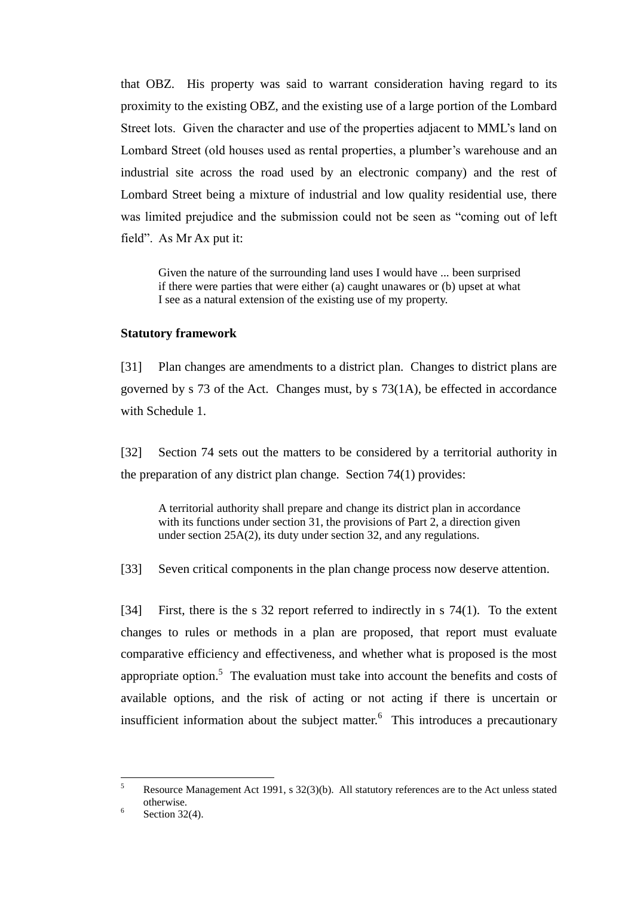that OBZ. His property was said to warrant consideration having regard to its proximity to the existing OBZ, and the existing use of a large portion of the Lombard Street lots. Given the character and use of the properties adjacent to MML's land on Lombard Street (old houses used as rental properties, a plumber's warehouse and an industrial site across the road used by an electronic company) and the rest of Lombard Street being a mixture of industrial and low quality residential use, there was limited prejudice and the submission could not be seen as "coming out of left field". As Mr Ax put it:

Given the nature of the surrounding land uses I would have ... been surprised if there were parties that were either (a) caught unawares or (b) upset at what I see as a natural extension of the existing use of my property.

#### **Statutory framework**

[31] Plan changes are amendments to a district plan. Changes to district plans are governed by s 73 of the Act. Changes must, by s 73(1A), be effected in accordance with Schedule 1.

[32] Section 74 sets out the matters to be considered by a territorial authority in the preparation of any district plan change. Section 74(1) provides:

A territorial authority shall prepare and change its district plan in accordance with its functions under section 31, the provisions of Part 2, a direction given under section 25A(2), its duty under section 32, and any regulations.

[33] Seven critical components in the plan change process now deserve attention.

[34] First, there is the s 32 report referred to indirectly in s 74(1). To the extent changes to rules or methods in a plan are proposed, that report must evaluate comparative efficiency and effectiveness, and whether what is proposed is the most appropriate option.<sup>5</sup> The evaluation must take into account the benefits and costs of available options, and the risk of acting or not acting if there is uncertain or insufficient information about the subject matter. 6 This introduces a precautionary

<sup>5</sup> <sup>5</sup> Resource Management Act 1991, s 32(3)(b). All statutory references are to the Act unless stated otherwise. 6

Section 32(4).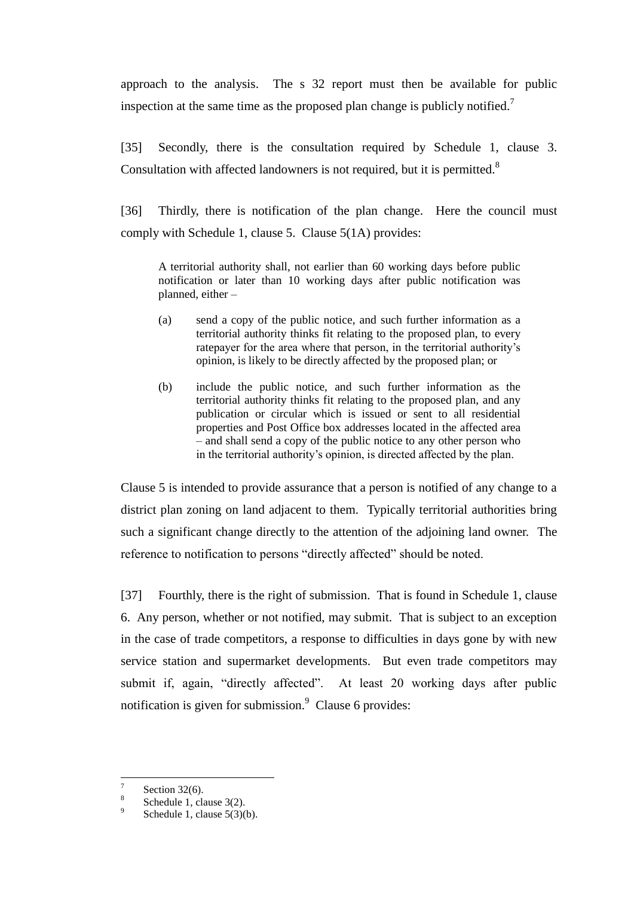approach to the analysis. The s 32 report must then be available for public inspection at the same time as the proposed plan change is publicly notified.<sup>7</sup>

[35] Secondly, there is the consultation required by Schedule 1, clause 3. Consultation with affected landowners is not required, but it is permitted.<sup>8</sup>

[36] Thirdly, there is notification of the plan change. Here the council must comply with Schedule 1, clause 5. Clause 5(1A) provides:

A territorial authority shall, not earlier than 60 working days before public notification or later than 10 working days after public notification was planned, either –

- (a) send a copy of the public notice, and such further information as a territorial authority thinks fit relating to the proposed plan, to every ratepayer for the area where that person, in the territorial authority's opinion, is likely to be directly affected by the proposed plan; or
- (b) include the public notice, and such further information as the territorial authority thinks fit relating to the proposed plan, and any publication or circular which is issued or sent to all residential properties and Post Office box addresses located in the affected area – and shall send a copy of the public notice to any other person who in the territorial authority's opinion, is directed affected by the plan.

Clause 5 is intended to provide assurance that a person is notified of any change to a district plan zoning on land adjacent to them. Typically territorial authorities bring such a significant change directly to the attention of the adjoining land owner. The reference to notification to persons "directly affected" should be noted.

[37] Fourthly, there is the right of submission. That is found in Schedule 1, clause 6. Any person, whether or not notified, may submit. That is subject to an exception in the case of trade competitors, a response to difficulties in days gone by with new service station and supermarket developments. But even trade competitors may submit if, again, "directly affected". At least 20 working days after public notification is given for submission. $\degree$  Clause 6 provides:

 $\overline{a}$ 

<sup>7</sup> Section 32(6).

<sup>8</sup> Schedule 1, clause 3(2).

<sup>9</sup> Schedule 1, clause 5(3)(b).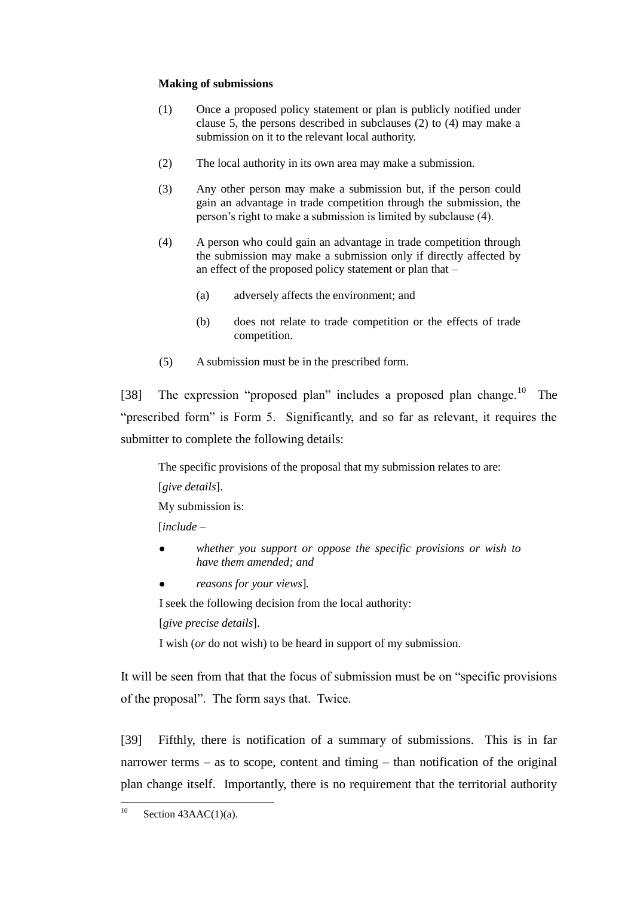#### **Making of submissions**

- (1) Once a proposed policy statement or plan is publicly notified under clause 5, the persons described in subclauses (2) to (4) may make a submission on it to the relevant local authority.
- (2) The local authority in its own area may make a submission.
- (3) Any other person may make a submission but, if the person could gain an advantage in trade competition through the submission, the person's right to make a submission is limited by subclause (4).
- (4) A person who could gain an advantage in trade competition through the submission may make a submission only if directly affected by an effect of the proposed policy statement or plan that –
	- (a) adversely affects the environment; and
	- (b) does not relate to trade competition or the effects of trade competition.
- (5) A submission must be in the prescribed form.

[38] The expression "proposed plan" includes a proposed plan change.<sup>10</sup> The "prescribed form" is Form 5. Significantly, and so far as relevant, it requires the submitter to complete the following details:

The specific provisions of the proposal that my submission relates to are:

[*give details*].

My submission is:

[*include* –

- *whether you support or oppose the specific provisions or wish to have them amended; and*
- *reasons for your views*]*.*

I seek the following decision from the local authority:

[*give precise details*].

I wish (*or* do not wish) to be heard in support of my submission.

It will be seen from that that the focus of submission must be on "specific provisions of the proposal". The form says that. Twice.

[39] Fifthly, there is notification of a summary of submissions. This is in far narrower terms – as to scope, content and timing – than notification of the original plan change itself. Importantly, there is no requirement that the territorial authority

 $10$ Section  $43AAC(1)(a)$ .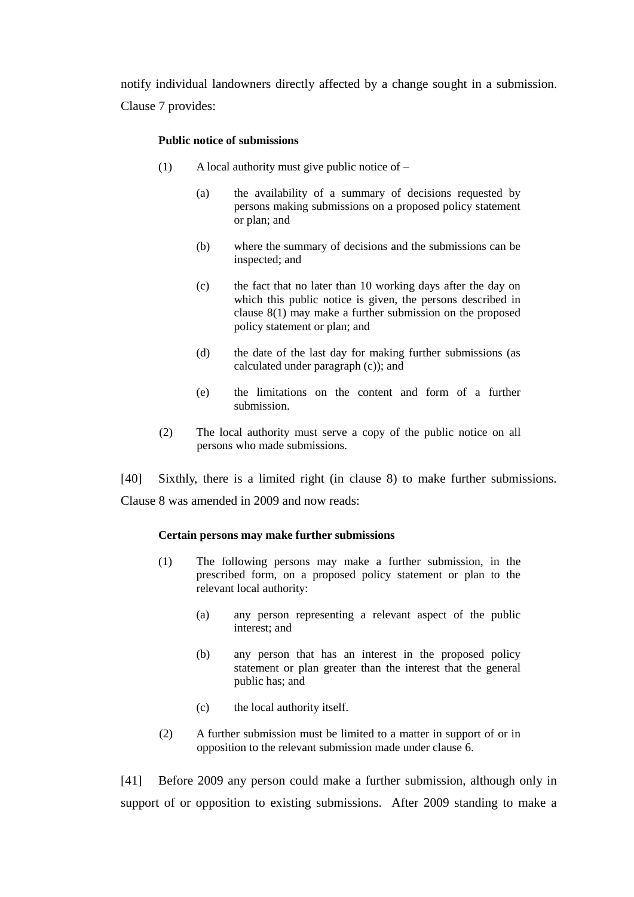notify individual landowners directly affected by a change sought in a submission. Clause 7 provides:

#### **Public notice of submissions**

- (1) A local authority must give public notice of
	- (a) the availability of a summary of decisions requested by persons making submissions on a proposed policy statement or plan; and
	- (b) where the summary of decisions and the submissions can be inspected; and
	- (c) the fact that no later than 10 working days after the day on which this public notice is given, the persons described in clause 8(1) may make a further submission on the proposed policy statement or plan; and
	- (d) the date of the last day for making further submissions (as calculated under paragraph (c)); and
	- (e) the limitations on the content and form of a further submission.
- (2) The local authority must serve a copy of the public notice on all persons who made submissions.

[40] Sixthly, there is a limited right (in clause 8) to make further submissions. Clause 8 was amended in 2009 and now reads:

#### **Certain persons may make further submissions**

- (1) The following persons may make a further submission, in the prescribed form, on a proposed policy statement or plan to the relevant local authority:
	- (a) any person representing a relevant aspect of the public interest; and
	- (b) any person that has an interest in the proposed policy statement or plan greater than the interest that the general public has; and
	- (c) the local authority itself.
- (2) A further submission must be limited to a matter in support of or in opposition to the relevant submission made under clause 6.

[41] Before 2009 any person could make a further submission, although only in support of or opposition to existing submissions. After 2009 standing to make a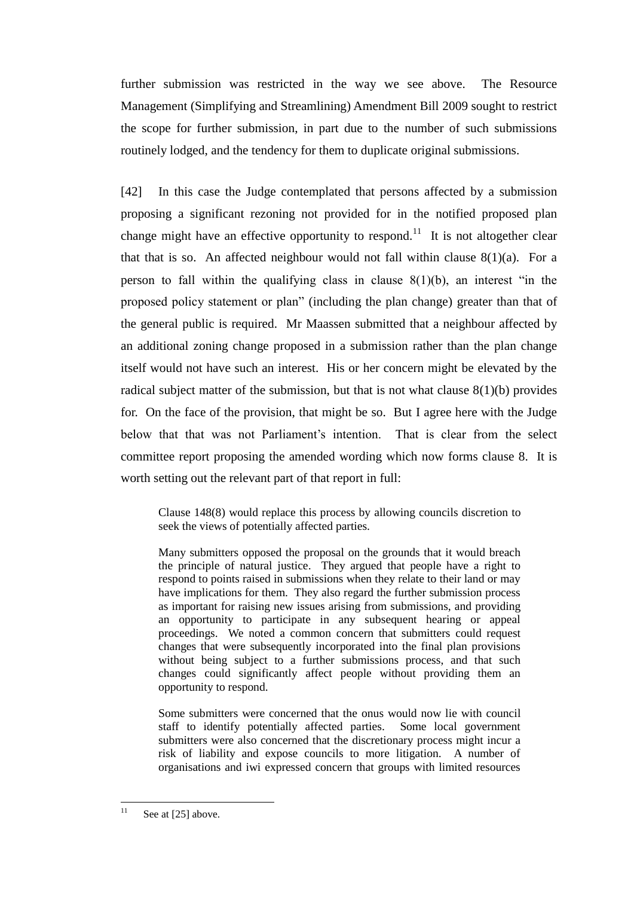further submission was restricted in the way we see above. The Resource Management (Simplifying and Streamlining) Amendment Bill 2009 sought to restrict the scope for further submission, in part due to the number of such submissions routinely lodged, and the tendency for them to duplicate original submissions.

[42] In this case the Judge contemplated that persons affected by a submission proposing a significant rezoning not provided for in the notified proposed plan change might have an effective opportunity to respond.<sup>11</sup> It is not altogether clear that that is so. An affected neighbour would not fall within clause  $8(1)(a)$ . For a person to fall within the qualifying class in clause  $8(1)(b)$ , an interest "in the proposed policy statement or plan" (including the plan change) greater than that of the general public is required. Mr Maassen submitted that a neighbour affected by an additional zoning change proposed in a submission rather than the plan change itself would not have such an interest. His or her concern might be elevated by the radical subject matter of the submission, but that is not what clause  $8(1)(b)$  provides for. On the face of the provision, that might be so. But I agree here with the Judge below that that was not Parliament's intention. That is clear from the select committee report proposing the amended wording which now forms clause 8. It is worth setting out the relevant part of that report in full:

Clause 148(8) would replace this process by allowing councils discretion to seek the views of potentially affected parties.

Many submitters opposed the proposal on the grounds that it would breach the principle of natural justice. They argued that people have a right to respond to points raised in submissions when they relate to their land or may have implications for them. They also regard the further submission process as important for raising new issues arising from submissions, and providing an opportunity to participate in any subsequent hearing or appeal proceedings. We noted a common concern that submitters could request changes that were subsequently incorporated into the final plan provisions without being subject to a further submissions process, and that such changes could significantly affect people without providing them an opportunity to respond.

Some submitters were concerned that the onus would now lie with council staff to identify potentially affected parties. Some local government submitters were also concerned that the discretionary process might incur a risk of liability and expose councils to more litigation. A number of organisations and iwi expressed concern that groups with limited resources

 $11$ See at [25] above.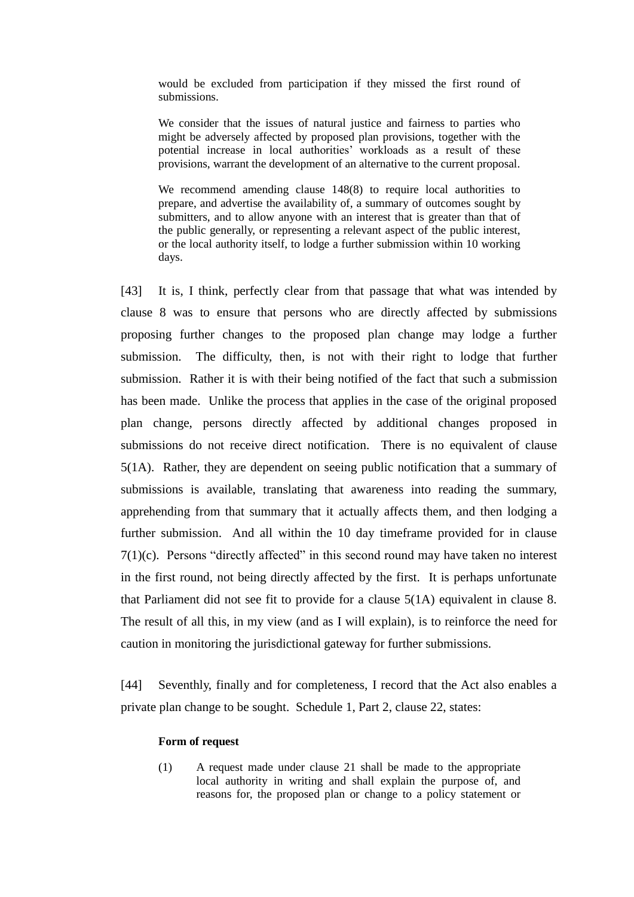would be excluded from participation if they missed the first round of submissions.

We consider that the issues of natural justice and fairness to parties who might be adversely affected by proposed plan provisions, together with the potential increase in local authorities' workloads as a result of these provisions, warrant the development of an alternative to the current proposal.

We recommend amending clause 148(8) to require local authorities to prepare, and advertise the availability of, a summary of outcomes sought by submitters, and to allow anyone with an interest that is greater than that of the public generally, or representing a relevant aspect of the public interest, or the local authority itself, to lodge a further submission within 10 working days.

[43] It is, I think, perfectly clear from that passage that what was intended by clause 8 was to ensure that persons who are directly affected by submissions proposing further changes to the proposed plan change may lodge a further submission. The difficulty, then, is not with their right to lodge that further submission. Rather it is with their being notified of the fact that such a submission has been made. Unlike the process that applies in the case of the original proposed plan change, persons directly affected by additional changes proposed in submissions do not receive direct notification. There is no equivalent of clause 5(1A). Rather, they are dependent on seeing public notification that a summary of submissions is available, translating that awareness into reading the summary, apprehending from that summary that it actually affects them, and then lodging a further submission. And all within the 10 day timeframe provided for in clause 7(1)(c). Persons "directly affected" in this second round may have taken no interest in the first round, not being directly affected by the first. It is perhaps unfortunate that Parliament did not see fit to provide for a clause 5(1A) equivalent in clause 8. The result of all this, in my view (and as I will explain), is to reinforce the need for caution in monitoring the jurisdictional gateway for further submissions.

[44] Seventhly, finally and for completeness, I record that the Act also enables a private plan change to be sought. Schedule 1, Part 2, clause 22, states:

#### **Form of request**

(1) A request made under clause 21 shall be made to the appropriate local authority in writing and shall explain the purpose of, and reasons for, the proposed plan or change to a policy statement or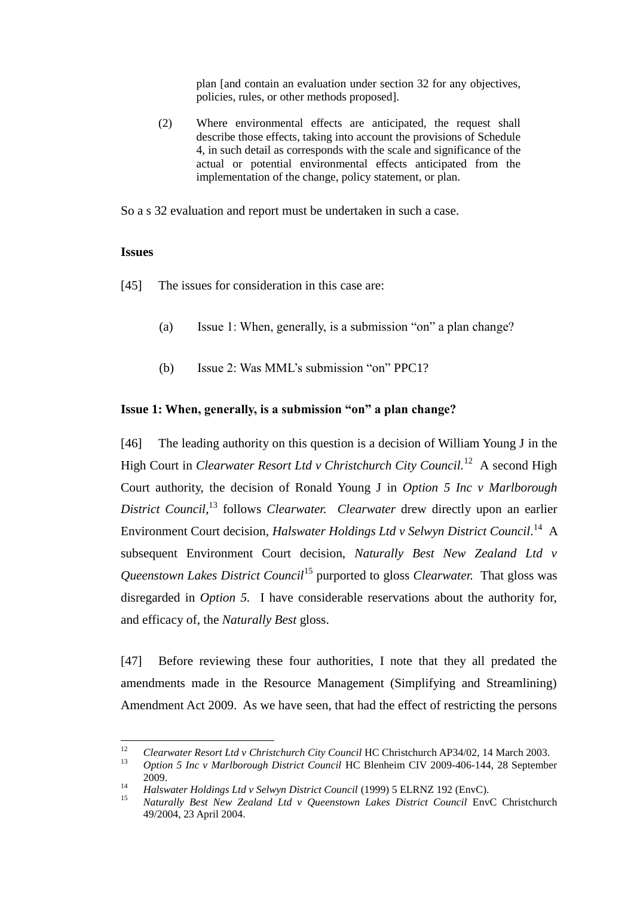plan [and contain an evaluation under section 32 for any objectives, policies, rules, or other methods proposed].

(2) Where environmental effects are anticipated, the request shall describe those effects, taking into account the provisions of Schedule 4, in such detail as corresponds with the scale and significance of the actual or potential environmental effects anticipated from the implementation of the change, policy statement, or plan.

So a s 32 evaluation and report must be undertaken in such a case.

## **Issues**

[45] The issues for consideration in this case are:

- (a) Issue 1: When, generally, is a submission "on" a plan change?
- (b) Issue 2: Was MML's submission "on" PPC1?

## **Issue 1: When, generally, is a submission "on" a plan change?**

[46] The leading authority on this question is a decision of William Young J in the High Court in *Clearwater Resort Ltd v Christchurch City Council.*<sup>12</sup> A second High Court authority, the decision of Ronald Young J in *Option 5 Inc v Marlborough District Council,* <sup>13</sup> follows *Clearwater. Clearwater* drew directly upon an earlier Environment Court decision, *Halswater Holdings Ltd v Selwyn District Council.*<sup>14</sup> A subsequent Environment Court decision, *Naturally Best New Zealand Ltd v Queenstown Lakes District Council*<sup>15</sup> purported to gloss *Clearwater.* That gloss was disregarded in *Option 5.* I have considerable reservations about the authority for, and efficacy of, the *Naturally Best* gloss.

[47] Before reviewing these four authorities, I note that they all predated the amendments made in the Resource Management (Simplifying and Streamlining) Amendment Act 2009. As we have seen, that had the effect of restricting the persons

 $12$ <sup>12</sup> *Clearwater Resort Ltd v Christchurch City Council* HC Christchurch AP34/02, 14 March 2003.

<sup>13</sup> *Option 5 Inc v Marlborough District Council* HC Blenheim CIV 2009-406-144, 28 September 2009.

<sup>14</sup> *Halswater Holdings Ltd v Selwyn District Council* (1999) 5 ELRNZ 192 (EnvC).

<sup>15</sup> *Naturally Best New Zealand Ltd v Queenstown Lakes District Council* EnvC Christchurch 49/2004, 23 April 2004.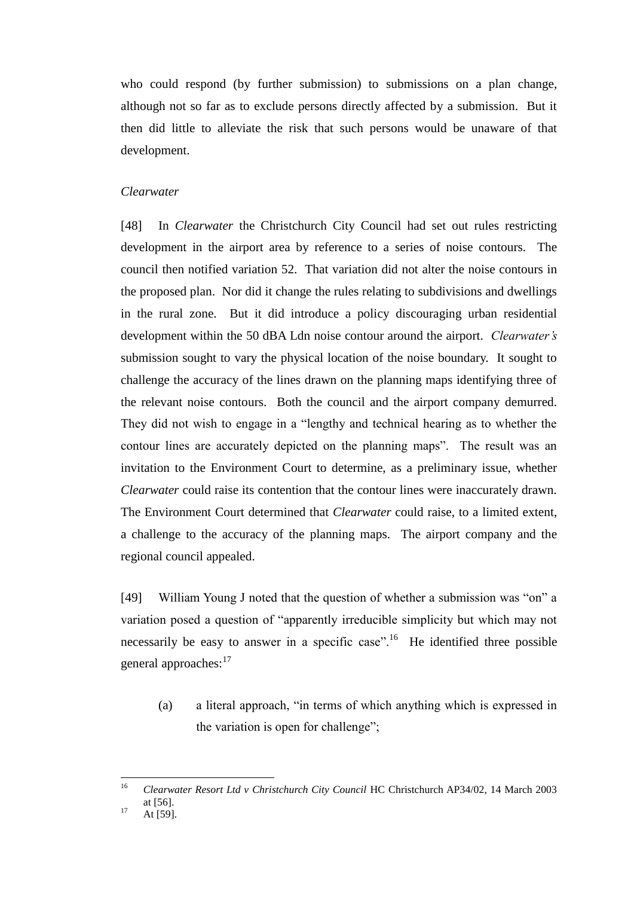who could respond (by further submission) to submissions on a plan change, although not so far as to exclude persons directly affected by a submission. But it then did little to alleviate the risk that such persons would be unaware of that development.

### *Clearwater*

[48] In *Clearwater* the Christchurch City Council had set out rules restricting development in the airport area by reference to a series of noise contours. The council then notified variation 52. That variation did not alter the noise contours in the proposed plan. Nor did it change the rules relating to subdivisions and dwellings in the rural zone. But it did introduce a policy discouraging urban residential development within the 50 dBA Ldn noise contour around the airport. *Clearwater's* submission sought to vary the physical location of the noise boundary. It sought to challenge the accuracy of the lines drawn on the planning maps identifying three of the relevant noise contours. Both the council and the airport company demurred. They did not wish to engage in a "lengthy and technical hearing as to whether the contour lines are accurately depicted on the planning maps". The result was an invitation to the Environment Court to determine, as a preliminary issue, whether *Clearwater* could raise its contention that the contour lines were inaccurately drawn. The Environment Court determined that *Clearwater* could raise, to a limited extent, a challenge to the accuracy of the planning maps. The airport company and the regional council appealed.

[49] William Young J noted that the question of whether a submission was "on" a variation posed a question of "apparently irreducible simplicity but which may not necessarily be easy to answer in a specific case".<sup>16</sup> He identified three possible general approaches:<sup>17</sup>

(a) a literal approach, "in terms of which anything which is expressed in the variation is open for challenge";

<sup>16</sup> <sup>16</sup> *Clearwater Resort Ltd v Christchurch City Council* HC Christchurch AP34/02, 14 March 2003 at [56].

 $17 \quad \text{At } [59].$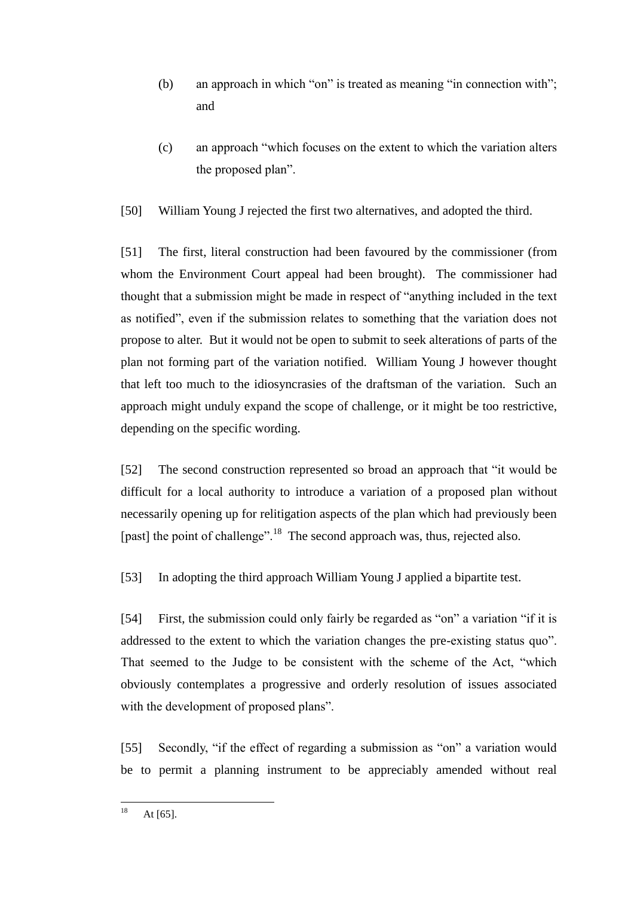- (b) an approach in which "on" is treated as meaning "in connection with"; and
- (c) an approach "which focuses on the extent to which the variation alters the proposed plan".
- [50] William Young J rejected the first two alternatives, and adopted the third.

[51] The first, literal construction had been favoured by the commissioner (from whom the Environment Court appeal had been brought). The commissioner had thought that a submission might be made in respect of "anything included in the text as notified", even if the submission relates to something that the variation does not propose to alter. But it would not be open to submit to seek alterations of parts of the plan not forming part of the variation notified. William Young J however thought that left too much to the idiosyncrasies of the draftsman of the variation. Such an approach might unduly expand the scope of challenge, or it might be too restrictive, depending on the specific wording.

[52] The second construction represented so broad an approach that "it would be difficult for a local authority to introduce a variation of a proposed plan without necessarily opening up for relitigation aspects of the plan which had previously been [past] the point of challenge".<sup>18</sup> The second approach was, thus, rejected also.

[53] In adopting the third approach William Young J applied a bipartite test.

[54] First, the submission could only fairly be regarded as "on" a variation "if it is addressed to the extent to which the variation changes the pre-existing status quo". That seemed to the Judge to be consistent with the scheme of the Act, "which obviously contemplates a progressive and orderly resolution of issues associated with the development of proposed plans".

[55] Secondly, "if the effect of regarding a submission as "on" a variation would be to permit a planning instrument to be appreciably amended without real

18 At  $[65]$ .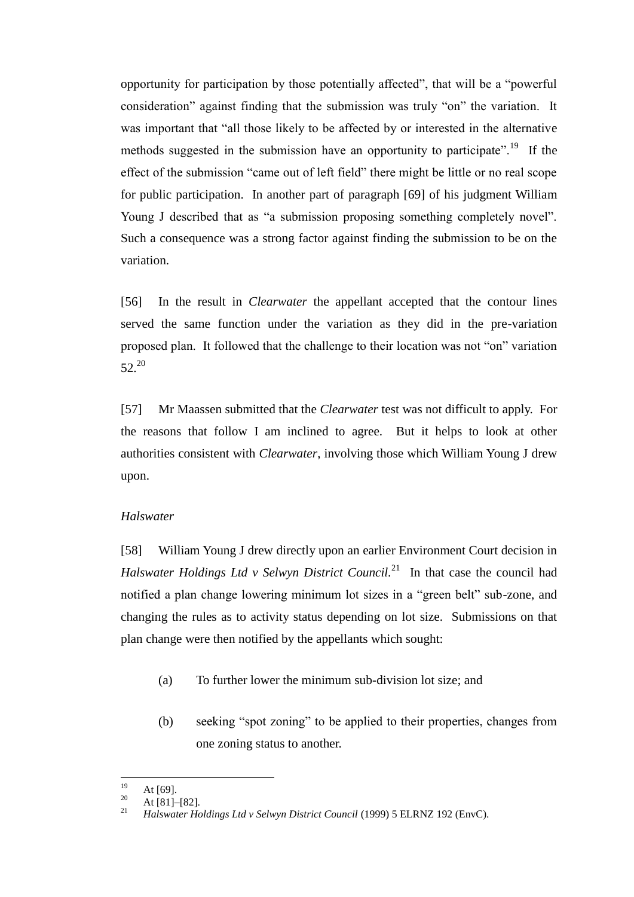opportunity for participation by those potentially affected", that will be a "powerful consideration" against finding that the submission was truly "on" the variation. It was important that "all those likely to be affected by or interested in the alternative methods suggested in the submission have an opportunity to participate".<sup>19</sup> If the effect of the submission "came out of left field" there might be little or no real scope for public participation. In another part of paragraph [69] of his judgment William Young J described that as "a submission proposing something completely novel". Such a consequence was a strong factor against finding the submission to be on the variation.

[56] In the result in *Clearwater* the appellant accepted that the contour lines served the same function under the variation as they did in the pre-variation proposed plan. It followed that the challenge to their location was not "on" variation  $52^{20}$ 

[57] Mr Maassen submitted that the *Clearwater* test was not difficult to apply. For the reasons that follow I am inclined to agree. But it helps to look at other authorities consistent with *Clearwater*, involving those which William Young J drew upon.

#### *Halswater*

[58] William Young J drew directly upon an earlier Environment Court decision in *Halswater Holdings Ltd v Selwyn District Council.*<sup>21</sup> In that case the council had notified a plan change lowering minimum lot sizes in a "green belt" sub-zone, and changing the rules as to activity status depending on lot size. Submissions on that plan change were then notified by the appellants which sought:

- (a) To further lower the minimum sub-division lot size; and
- (b) seeking "spot zoning" to be applied to their properties, changes from one zoning status to another.

<sup>19</sup>  $\frac{19}{20}$  At [69].

 $\frac{20}{21}$  At [81]–[82].

<sup>21</sup> *Halswater Holdings Ltd v Selwyn District Council* (1999) 5 ELRNZ 192 (EnvC).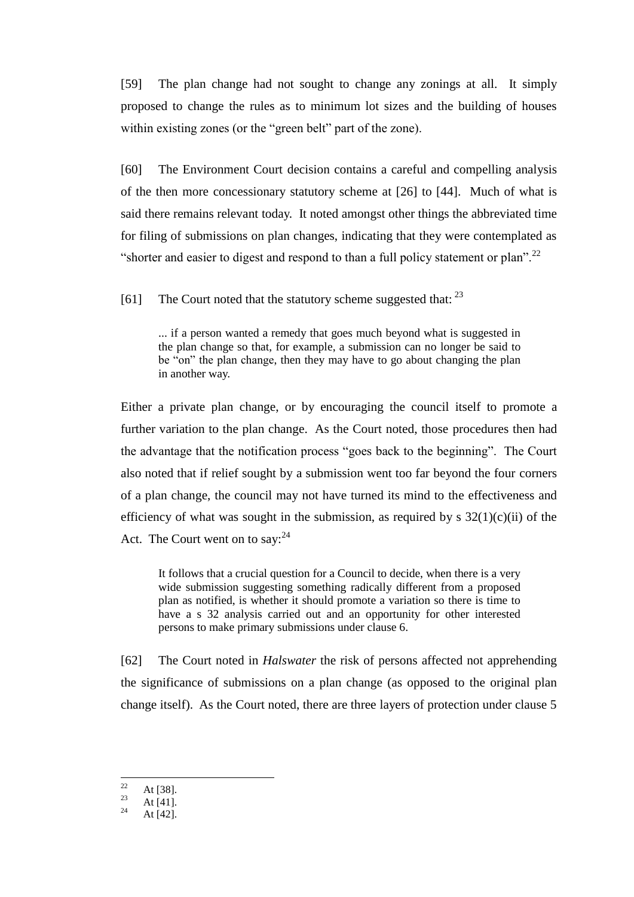[59] The plan change had not sought to change any zonings at all. It simply proposed to change the rules as to minimum lot sizes and the building of houses within existing zones (or the "green belt" part of the zone).

[60] The Environment Court decision contains a careful and compelling analysis of the then more concessionary statutory scheme at [26] to [44]. Much of what is said there remains relevant today. It noted amongst other things the abbreviated time for filing of submissions on plan changes, indicating that they were contemplated as "shorter and easier to digest and respond to than a full policy statement or plan".<sup>22</sup>

[61] The Court noted that the statutory scheme suggested that: <sup>23</sup>

... if a person wanted a remedy that goes much beyond what is suggested in the plan change so that, for example, a submission can no longer be said to be "on" the plan change, then they may have to go about changing the plan in another way.

Either a private plan change, or by encouraging the council itself to promote a further variation to the plan change. As the Court noted, those procedures then had the advantage that the notification process "goes back to the beginning". The Court also noted that if relief sought by a submission went too far beyond the four corners of a plan change, the council may not have turned its mind to the effectiveness and efficiency of what was sought in the submission, as required by  $s \frac{32(1)}{c}$  (ii) of the Act. The Court went on to say:  $24$ 

It follows that a crucial question for a Council to decide, when there is a very wide submission suggesting something radically different from a proposed plan as notified, is whether it should promote a variation so there is time to have a s 32 analysis carried out and an opportunity for other interested persons to make primary submissions under clause 6.

[62] The Court noted in *Halswater* the risk of persons affected not apprehending the significance of submissions on a plan change (as opposed to the original plan change itself). As the Court noted, there are three layers of protection under clause 5

<sup>22</sup>  $\frac{22}{23}$  At [38].

 $\frac{23}{24}$  At [41].

At  $[42]$ .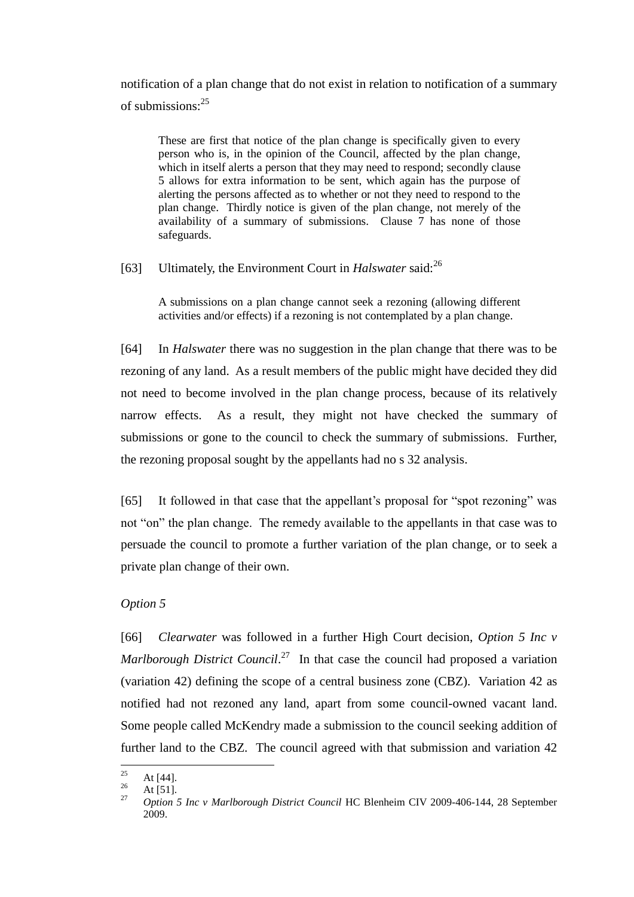notification of a plan change that do not exist in relation to notification of a summary of submissions:<sup>25</sup>

These are first that notice of the plan change is specifically given to every person who is, in the opinion of the Council, affected by the plan change, which in itself alerts a person that they may need to respond; secondly clause 5 allows for extra information to be sent, which again has the purpose of alerting the persons affected as to whether or not they need to respond to the plan change. Thirdly notice is given of the plan change, not merely of the availability of a summary of submissions. Clause 7 has none of those safeguards.

[63] Ultimately, the Environment Court in *Halswater* said:<sup>26</sup>

A submissions on a plan change cannot seek a rezoning (allowing different activities and/or effects) if a rezoning is not contemplated by a plan change.

[64] In *Halswater* there was no suggestion in the plan change that there was to be rezoning of any land. As a result members of the public might have decided they did not need to become involved in the plan change process, because of its relatively narrow effects. As a result, they might not have checked the summary of submissions or gone to the council to check the summary of submissions. Further, the rezoning proposal sought by the appellants had no s 32 analysis.

[65] It followed in that case that the appellant's proposal for "spot rezoning" was not "on" the plan change. The remedy available to the appellants in that case was to persuade the council to promote a further variation of the plan change, or to seek a private plan change of their own.

## *Option 5*

[66] *Clearwater* was followed in a further High Court decision, *Option 5 Inc v* Marlborough District Council.<sup>27</sup> In that case the council had proposed a variation (variation 42) defining the scope of a central business zone (CBZ). Variation 42 as notified had not rezoned any land, apart from some council-owned vacant land. Some people called McKendry made a submission to the council seeking addition of further land to the CBZ. The council agreed with that submission and variation 42

<sup>25</sup>  $\frac{25}{26}$  At [44].

 $\frac{26}{27}$  At [51].

<sup>27</sup> *Option 5 Inc v Marlborough District Council* HC Blenheim CIV 2009-406-144, 28 September 2009.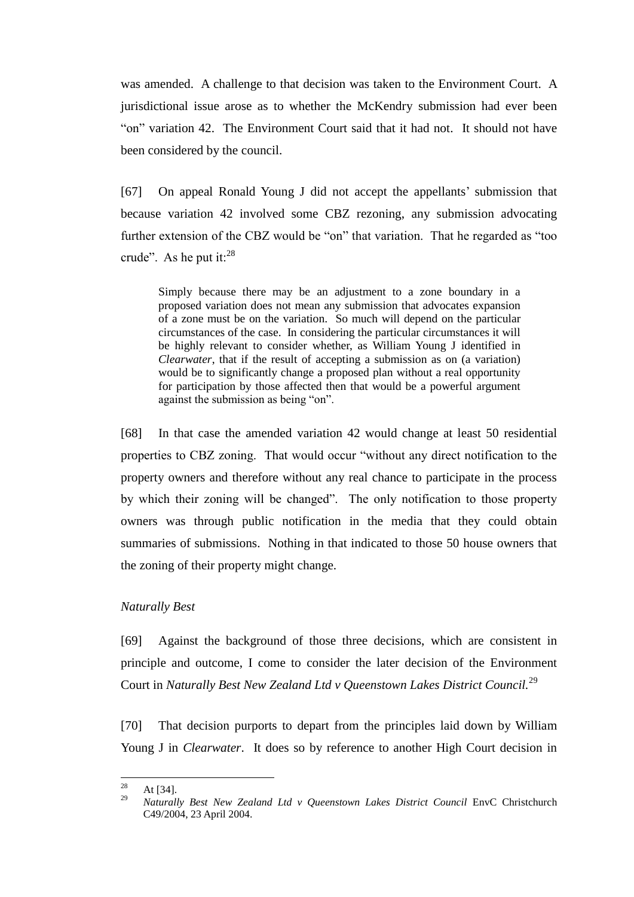was amended. A challenge to that decision was taken to the Environment Court. A jurisdictional issue arose as to whether the McKendry submission had ever been "on" variation 42. The Environment Court said that it had not. It should not have been considered by the council.

[67] On appeal Ronald Young J did not accept the appellants' submission that because variation 42 involved some CBZ rezoning, any submission advocating further extension of the CBZ would be "on" that variation. That he regarded as "too crude". As he put it: $^{28}$ 

Simply because there may be an adjustment to a zone boundary in a proposed variation does not mean any submission that advocates expansion of a zone must be on the variation. So much will depend on the particular circumstances of the case. In considering the particular circumstances it will be highly relevant to consider whether, as William Young J identified in *Clearwater*, that if the result of accepting a submission as on (a variation) would be to significantly change a proposed plan without a real opportunity for participation by those affected then that would be a powerful argument against the submission as being "on".

[68] In that case the amended variation 42 would change at least 50 residential properties to CBZ zoning. That would occur "without any direct notification to the property owners and therefore without any real chance to participate in the process by which their zoning will be changed". The only notification to those property owners was through public notification in the media that they could obtain summaries of submissions. Nothing in that indicated to those 50 house owners that the zoning of their property might change.

#### *Naturally Best*

[69] Against the background of those three decisions, which are consistent in principle and outcome, I come to consider the later decision of the Environment Court in *Naturally Best New Zealand Ltd v Queenstown Lakes District Council.<sup>29</sup>* 

[70] That decision purports to depart from the principles laid down by William Young J in *Clearwater*. It does so by reference to another High Court decision in

<sup>28</sup>  $\frac{28}{29}$  At [34].

<sup>29</sup> *Naturally Best New Zealand Ltd v Queenstown Lakes District Council* EnvC Christchurch C49/2004, 23 April 2004.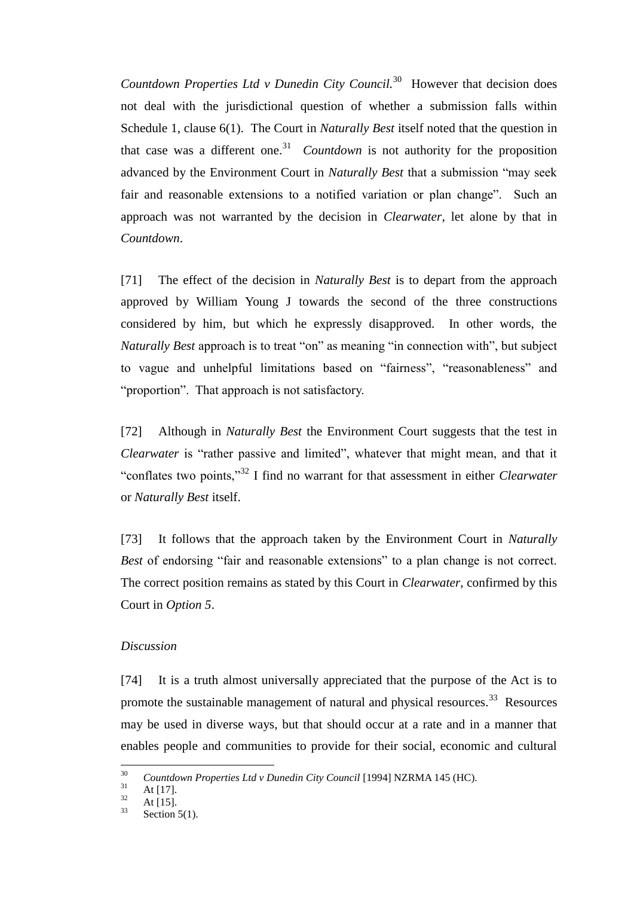Countdown Properties Ltd v Dunedin City Council.<sup>30</sup> However that decision does not deal with the jurisdictional question of whether a submission falls within Schedule 1, clause 6(1). The Court in *Naturally Best* itself noted that the question in that case was a different one.<sup>31</sup> *Countdown* is not authority for the proposition advanced by the Environment Court in *Naturally Best* that a submission "may seek fair and reasonable extensions to a notified variation or plan change". Such an approach was not warranted by the decision in *Clearwater*, let alone by that in *Countdown*.

[71] The effect of the decision in *Naturally Best* is to depart from the approach approved by William Young J towards the second of the three constructions considered by him, but which he expressly disapproved. In other words, the *Naturally Best* approach is to treat "on" as meaning "in connection with", but subject to vague and unhelpful limitations based on "fairness", "reasonableness" and "proportion". That approach is not satisfactory.

[72] Although in *Naturally Best* the Environment Court suggests that the test in *Clearwater* is "rather passive and limited", whatever that might mean, and that it "conflates two points," <sup>32</sup> I find no warrant for that assessment in either *Clearwater* or *Naturally Best* itself.

[73] It follows that the approach taken by the Environment Court in *Naturally Best* of endorsing "fair and reasonable extensions" to a plan change is not correct. The correct position remains as stated by this Court in *Clearwater*, confirmed by this Court in *Option 5*.

## *Discussion*

[74] It is a truth almost universally appreciated that the purpose of the Act is to promote the sustainable management of natural and physical resources.<sup>33</sup> Resources may be used in diverse ways, but that should occur at a rate and in a manner that enables people and communities to provide for their social, economic and cultural

<sup>30</sup> <sup>30</sup> *Countdown Properties Ltd v Dunedin City Council* [1994] NZRMA 145 (HC).

 $\frac{31}{32}$  At [17].

 $\frac{32}{33}$  At [15].

Section  $5(1)$ .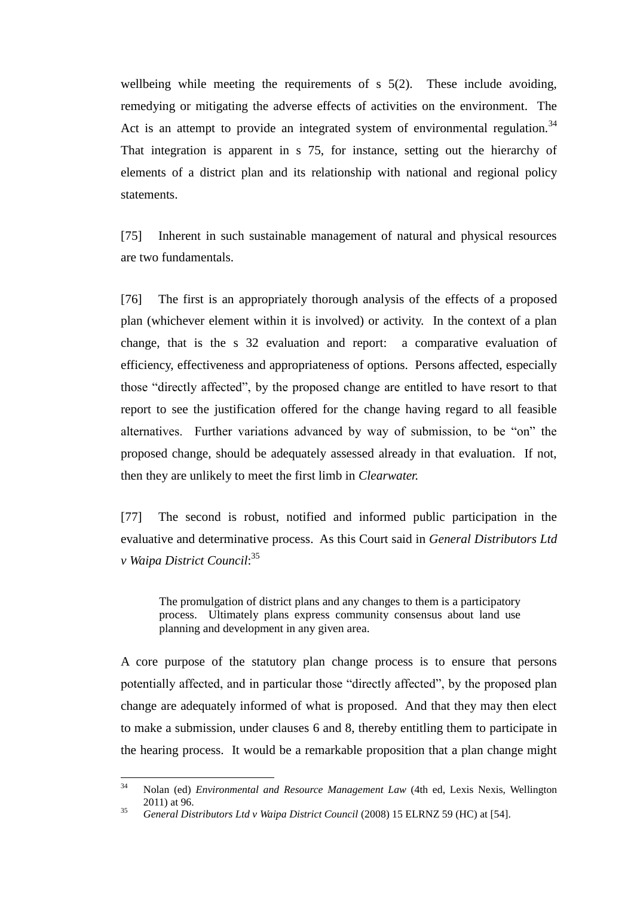wellbeing while meeting the requirements of s 5(2). These include avoiding, remedying or mitigating the adverse effects of activities on the environment. The Act is an attempt to provide an integrated system of environmental regulation.<sup>34</sup> That integration is apparent in s 75, for instance, setting out the hierarchy of elements of a district plan and its relationship with national and regional policy statements.

[75] Inherent in such sustainable management of natural and physical resources are two fundamentals.

[76] The first is an appropriately thorough analysis of the effects of a proposed plan (whichever element within it is involved) or activity. In the context of a plan change, that is the s 32 evaluation and report: a comparative evaluation of efficiency, effectiveness and appropriateness of options. Persons affected, especially those "directly affected", by the proposed change are entitled to have resort to that report to see the justification offered for the change having regard to all feasible alternatives. Further variations advanced by way of submission, to be "on" the proposed change, should be adequately assessed already in that evaluation. If not, then they are unlikely to meet the first limb in *Clearwater.*

[77] The second is robust, notified and informed public participation in the evaluative and determinative process. As this Court said in *General Distributors Ltd v Waipa District Council*: 35

The promulgation of district plans and any changes to them is a participatory process. Ultimately plans express community consensus about land use planning and development in any given area.

A core purpose of the statutory plan change process is to ensure that persons potentially affected, and in particular those "directly affected", by the proposed plan change are adequately informed of what is proposed. And that they may then elect to make a submission, under clauses 6 and 8, thereby entitling them to participate in the hearing process. It would be a remarkable proposition that a plan change might

 $34$ <sup>34</sup> Nolan (ed) *Environmental and Resource Management Law* (4th ed, Lexis Nexis, Wellington 2011) at 96.

<sup>35</sup> *General Distributors Ltd v Waipa District Council* (2008) 15 ELRNZ 59 (HC) at [54].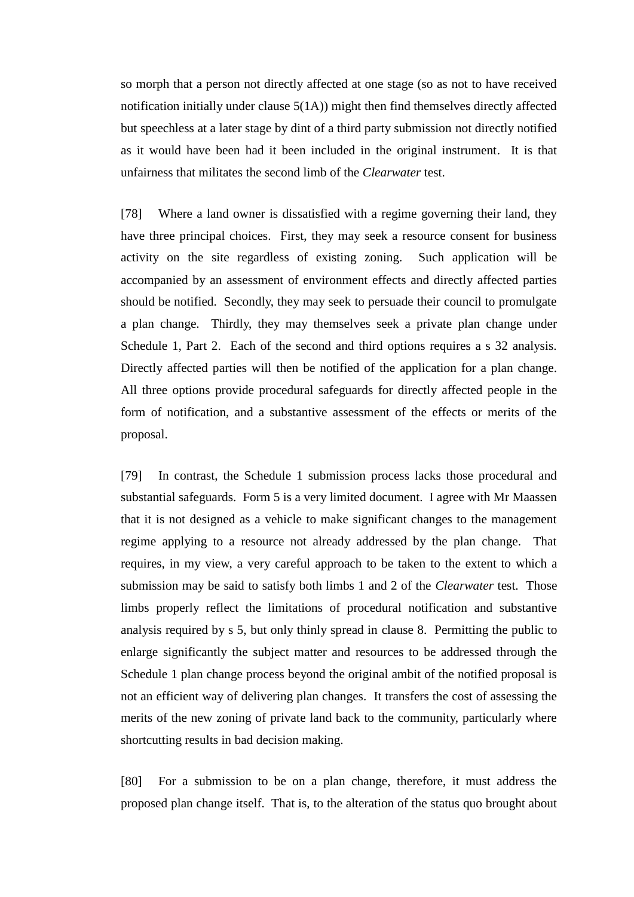so morph that a person not directly affected at one stage (so as not to have received notification initially under clause  $5(1A)$ ) might then find themselves directly affected but speechless at a later stage by dint of a third party submission not directly notified as it would have been had it been included in the original instrument. It is that unfairness that militates the second limb of the *Clearwater* test.

[78] Where a land owner is dissatisfied with a regime governing their land, they have three principal choices. First, they may seek a resource consent for business activity on the site regardless of existing zoning. Such application will be accompanied by an assessment of environment effects and directly affected parties should be notified. Secondly, they may seek to persuade their council to promulgate a plan change. Thirdly, they may themselves seek a private plan change under Schedule 1, Part 2. Each of the second and third options requires a s 32 analysis. Directly affected parties will then be notified of the application for a plan change. All three options provide procedural safeguards for directly affected people in the form of notification, and a substantive assessment of the effects or merits of the proposal.

[79] In contrast, the Schedule 1 submission process lacks those procedural and substantial safeguards. Form 5 is a very limited document. I agree with Mr Maassen that it is not designed as a vehicle to make significant changes to the management regime applying to a resource not already addressed by the plan change. That requires, in my view, a very careful approach to be taken to the extent to which a submission may be said to satisfy both limbs 1 and 2 of the *Clearwater* test. Those limbs properly reflect the limitations of procedural notification and substantive analysis required by s 5, but only thinly spread in clause 8. Permitting the public to enlarge significantly the subject matter and resources to be addressed through the Schedule 1 plan change process beyond the original ambit of the notified proposal is not an efficient way of delivering plan changes. It transfers the cost of assessing the merits of the new zoning of private land back to the community, particularly where shortcutting results in bad decision making.

[80] For a submission to be on a plan change, therefore, it must address the proposed plan change itself. That is, to the alteration of the status quo brought about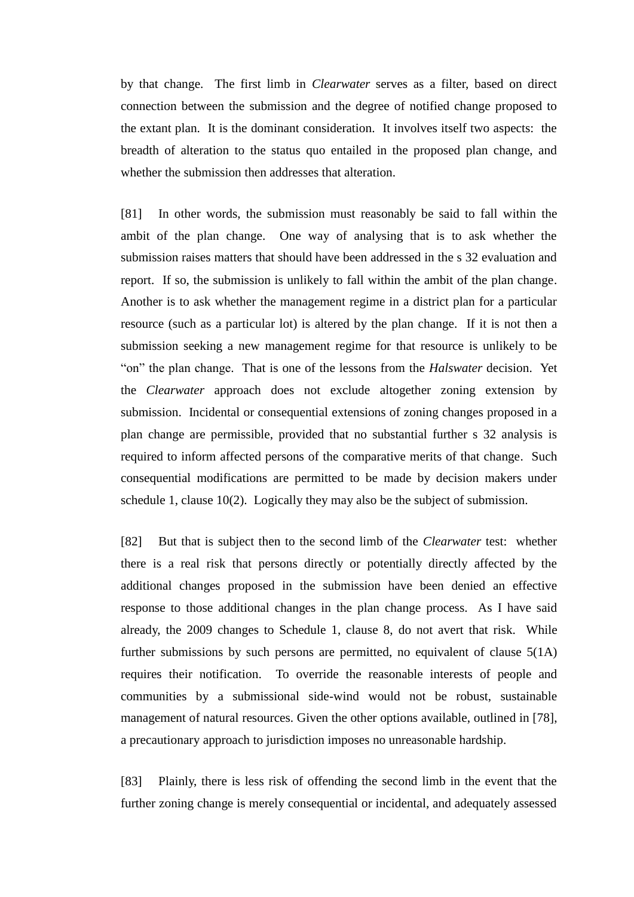by that change. The first limb in *Clearwater* serves as a filter, based on direct connection between the submission and the degree of notified change proposed to the extant plan. It is the dominant consideration. It involves itself two aspects: the breadth of alteration to the status quo entailed in the proposed plan change, and whether the submission then addresses that alteration.

[81] In other words, the submission must reasonably be said to fall within the ambit of the plan change. One way of analysing that is to ask whether the submission raises matters that should have been addressed in the s 32 evaluation and report. If so, the submission is unlikely to fall within the ambit of the plan change. Another is to ask whether the management regime in a district plan for a particular resource (such as a particular lot) is altered by the plan change. If it is not then a submission seeking a new management regime for that resource is unlikely to be "on" the plan change. That is one of the lessons from the *Halswater* decision. Yet the *Clearwater* approach does not exclude altogether zoning extension by submission. Incidental or consequential extensions of zoning changes proposed in a plan change are permissible, provided that no substantial further s 32 analysis is required to inform affected persons of the comparative merits of that change. Such consequential modifications are permitted to be made by decision makers under schedule 1, clause 10(2). Logically they may also be the subject of submission.

[82] But that is subject then to the second limb of the *Clearwater* test: whether there is a real risk that persons directly or potentially directly affected by the additional changes proposed in the submission have been denied an effective response to those additional changes in the plan change process. As I have said already, the 2009 changes to Schedule 1, clause 8, do not avert that risk. While further submissions by such persons are permitted, no equivalent of clause 5(1A) requires their notification. To override the reasonable interests of people and communities by a submissional side-wind would not be robust, sustainable management of natural resources. Given the other options available, outlined in [78], a precautionary approach to jurisdiction imposes no unreasonable hardship.

[83] Plainly, there is less risk of offending the second limb in the event that the further zoning change is merely consequential or incidental, and adequately assessed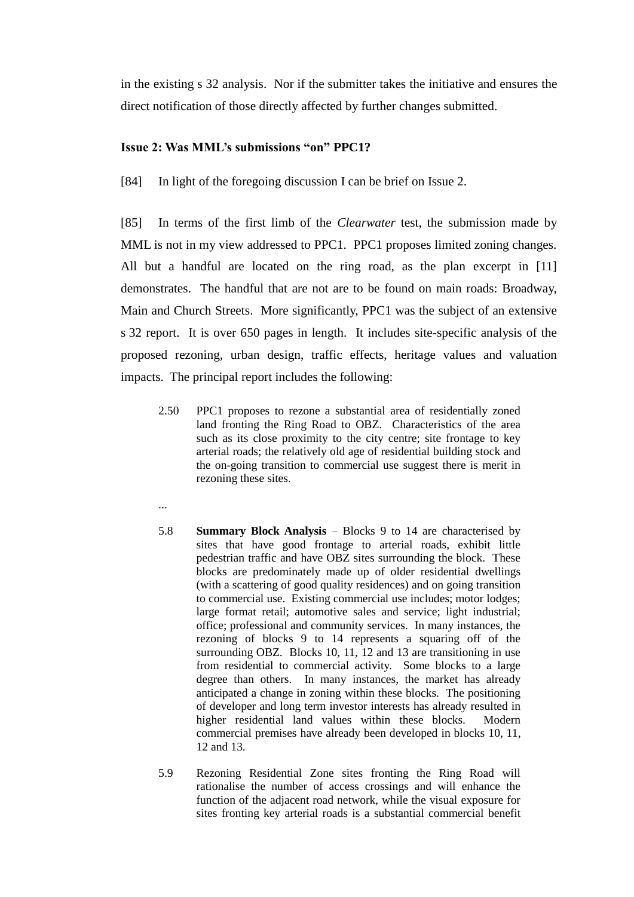in the existing s 32 analysis. Nor if the submitter takes the initiative and ensures the direct notification of those directly affected by further changes submitted.

# **Issue 2: Was MML's submissions "on" PPC1?**

[84] In light of the foregoing discussion I can be brief on Issue 2.

[85] In terms of the first limb of the *Clearwater* test, the submission made by MML is not in my view addressed to PPC1. PPC1 proposes limited zoning changes. All but a handful are located on the ring road, as the plan excerpt in [11] demonstrates. The handful that are not are to be found on main roads: Broadway, Main and Church Streets. More significantly, PPC1 was the subject of an extensive s 32 report. It is over 650 pages in length. It includes site-specific analysis of the proposed rezoning, urban design, traffic effects, heritage values and valuation impacts. The principal report includes the following:

- 2.50 PPC1 proposes to rezone a substantial area of residentially zoned land fronting the Ring Road to OBZ. Characteristics of the area such as its close proximity to the city centre; site frontage to key arterial roads; the relatively old age of residential building stock and the on-going transition to commercial use suggest there is merit in rezoning these sites.
- ...
- 5.8 **Summary Block Analysis** Blocks 9 to 14 are characterised by sites that have good frontage to arterial roads, exhibit little pedestrian traffic and have OBZ sites surrounding the block. These blocks are predominately made up of older residential dwellings (with a scattering of good quality residences) and on going transition to commercial use. Existing commercial use includes; motor lodges; large format retail; automotive sales and service; light industrial; office; professional and community services. In many instances, the rezoning of blocks 9 to 14 represents a squaring off of the surrounding OBZ. Blocks 10, 11, 12 and 13 are transitioning in use from residential to commercial activity. Some blocks to a large degree than others. In many instances, the market has already anticipated a change in zoning within these blocks. The positioning of developer and long term investor interests has already resulted in higher residential land values within these blocks. Modern commercial premises have already been developed in blocks 10, 11, 12 and 13.
- 5.9 Rezoning Residential Zone sites fronting the Ring Road will rationalise the number of access crossings and will enhance the function of the adjacent road network, while the visual exposure for sites fronting key arterial roads is a substantial commercial benefit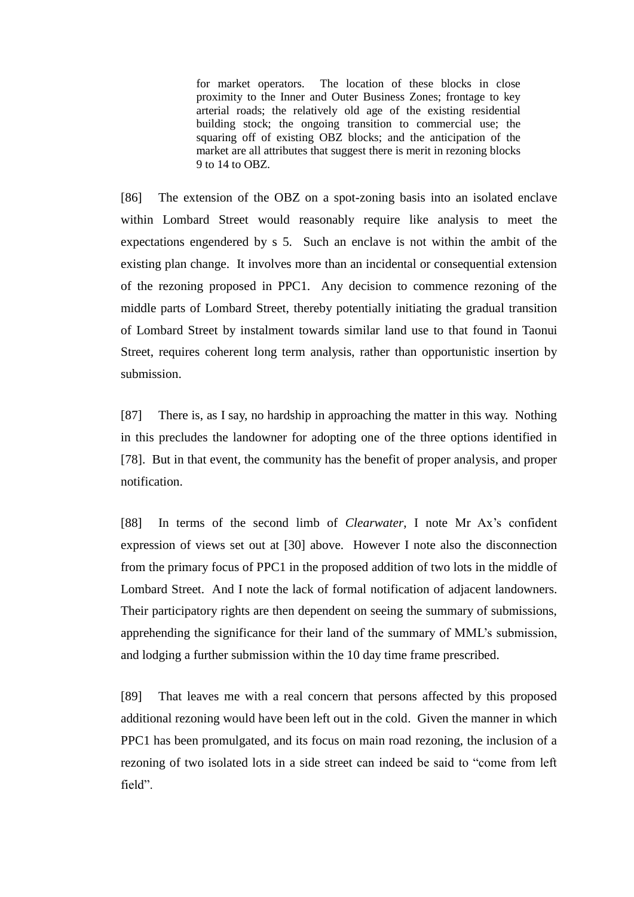for market operators. The location of these blocks in close proximity to the Inner and Outer Business Zones; frontage to key arterial roads; the relatively old age of the existing residential building stock; the ongoing transition to commercial use; the squaring off of existing OBZ blocks; and the anticipation of the market are all attributes that suggest there is merit in rezoning blocks 9 to 14 to OBZ.

[86] The extension of the OBZ on a spot-zoning basis into an isolated enclave within Lombard Street would reasonably require like analysis to meet the expectations engendered by s 5. Such an enclave is not within the ambit of the existing plan change. It involves more than an incidental or consequential extension of the rezoning proposed in PPC1. Any decision to commence rezoning of the middle parts of Lombard Street, thereby potentially initiating the gradual transition of Lombard Street by instalment towards similar land use to that found in Taonui Street, requires coherent long term analysis, rather than opportunistic insertion by submission.

[87] There is, as I say, no hardship in approaching the matter in this way. Nothing in this precludes the landowner for adopting one of the three options identified in [78]. But in that event, the community has the benefit of proper analysis, and proper notification.

[88] In terms of the second limb of *Clearwater*, I note Mr Ax's confident expression of views set out at [30] above. However I note also the disconnection from the primary focus of PPC1 in the proposed addition of two lots in the middle of Lombard Street. And I note the lack of formal notification of adjacent landowners. Their participatory rights are then dependent on seeing the summary of submissions, apprehending the significance for their land of the summary of MML's submission, and lodging a further submission within the 10 day time frame prescribed.

[89] That leaves me with a real concern that persons affected by this proposed additional rezoning would have been left out in the cold. Given the manner in which PPC1 has been promulgated, and its focus on main road rezoning, the inclusion of a rezoning of two isolated lots in a side street can indeed be said to "come from left field".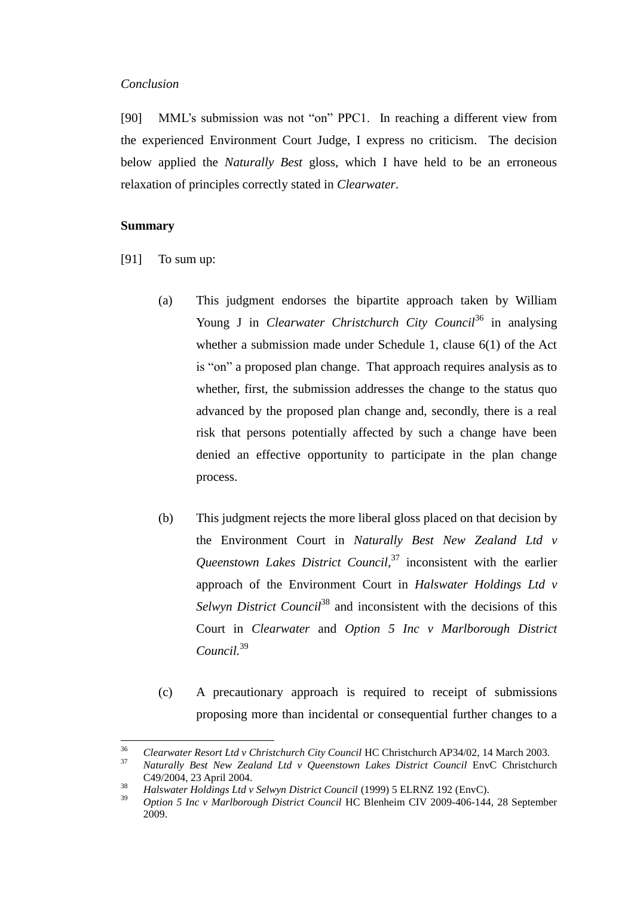#### *Conclusion*

[90] MML's submission was not "on" PPC1. In reaching a different view from the experienced Environment Court Judge, I express no criticism. The decision below applied the *Naturally Best* gloss, which I have held to be an erroneous relaxation of principles correctly stated in *Clearwater*.

### **Summary**

- [91] To sum up:
	- (a) This judgment endorses the bipartite approach taken by William Young J in *Clearwater Christchurch City Council*<sup>36</sup> in analysing whether a submission made under Schedule 1, clause 6(1) of the Act is "on" a proposed plan change. That approach requires analysis as to whether, first, the submission addresses the change to the status quo advanced by the proposed plan change and, secondly, there is a real risk that persons potentially affected by such a change have been denied an effective opportunity to participate in the plan change process.
	- (b) This judgment rejects the more liberal gloss placed on that decision by the Environment Court in *Naturally Best New Zealand Ltd v Queenstown Lakes District Council,*<sup>37</sup> inconsistent with the earlier approach of the Environment Court in *Halswater Holdings Ltd v Selwyn District Council*<sup>38</sup> and inconsistent with the decisions of this Court in *Clearwater* and *Option 5 Inc v Marlborough District Council.*<sup>39</sup>
	- (c) A precautionary approach is required to receipt of submissions proposing more than incidental or consequential further changes to a

 $36$ <sup>36</sup> *Clearwater Resort Ltd v Christchurch City Council* HC Christchurch AP34/02, 14 March 2003.

<sup>37</sup> *Naturally Best New Zealand Ltd v Queenstown Lakes District Council* EnvC Christchurch C49/2004, 23 April 2004.

<sup>38</sup> *Halswater Holdings Ltd v Selwyn District Council* (1999) 5 ELRNZ 192 (EnvC).

<sup>39</sup> *Option 5 Inc v Marlborough District Council* HC Blenheim CIV 2009-406-144, 28 September 2009.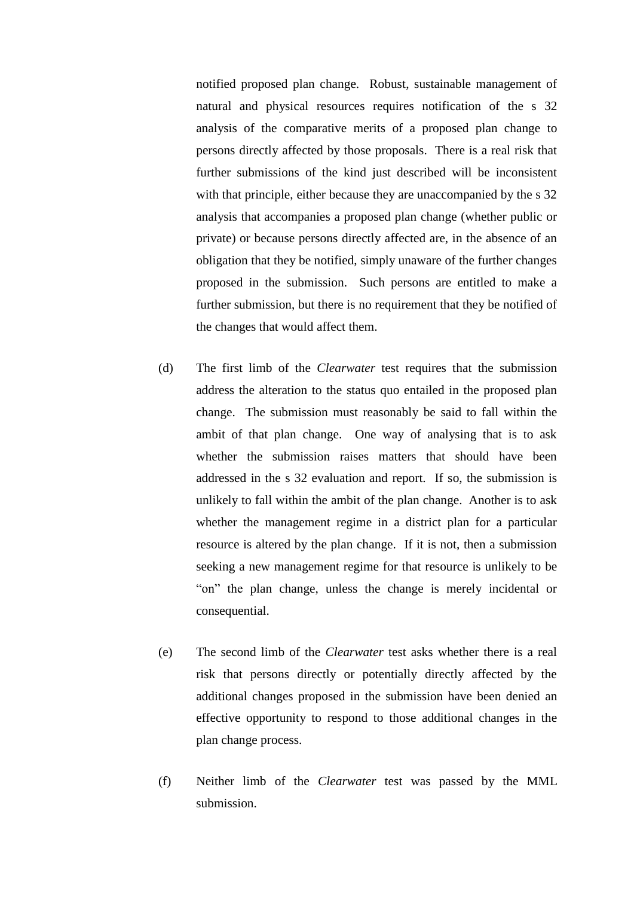notified proposed plan change. Robust, sustainable management of natural and physical resources requires notification of the s 32 analysis of the comparative merits of a proposed plan change to persons directly affected by those proposals. There is a real risk that further submissions of the kind just described will be inconsistent with that principle, either because they are unaccompanied by the s 32 analysis that accompanies a proposed plan change (whether public or private) or because persons directly affected are, in the absence of an obligation that they be notified, simply unaware of the further changes proposed in the submission. Such persons are entitled to make a further submission, but there is no requirement that they be notified of the changes that would affect them.

- (d) The first limb of the *Clearwater* test requires that the submission address the alteration to the status quo entailed in the proposed plan change. The submission must reasonably be said to fall within the ambit of that plan change. One way of analysing that is to ask whether the submission raises matters that should have been addressed in the s 32 evaluation and report. If so, the submission is unlikely to fall within the ambit of the plan change. Another is to ask whether the management regime in a district plan for a particular resource is altered by the plan change. If it is not, then a submission seeking a new management regime for that resource is unlikely to be "on" the plan change, unless the change is merely incidental or consequential.
- (e) The second limb of the *Clearwater* test asks whether there is a real risk that persons directly or potentially directly affected by the additional changes proposed in the submission have been denied an effective opportunity to respond to those additional changes in the plan change process.
- (f) Neither limb of the *Clearwater* test was passed by the MML submission.